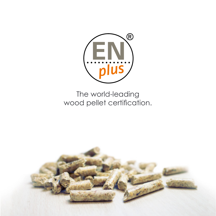

# The world-leading wood pellet certification.

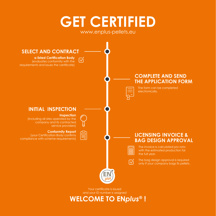# **GET CERTIFIED** www.enplus-pellets.eu



Your certificate is issued and your ID number is assigned

**WELCOME TO EN***plus***® !**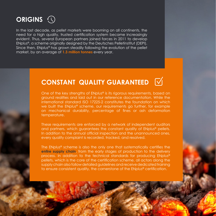

In the last decade, as pellet markets were booming on all continents, the need for a high quality, trusted certification system became increasingly evident. Thus, several European partners joined forces in 2011 to develop EN*plus*®, a scheme originally designed by the Deutsches Pelletinstitut (DEPI). Since then, EN*plus*® has grown steadily following the evolution of the pellet market, by an average of **1.3 million tonnes** every year.

## **CONSTANT QUALITY GUARANTEED**

One of the key strengths of EN*plus*® is its rigorous requirements, based on ground realities and laid out in our reference documentation. While the international standard ISO 17225-2 constitutes the foundation on which we built the EN*plus*® scheme, our requirements go further, for example on mechanical durability, percentage of fines or ash deformation temperature.

These requirements are enforced by a network of independent auditors and partners, which guarantees the constant quality of EN*plus*® pellets. In addition to the annual official inspection and the unannounced ones, every quality complaint is recorded, tracked, and resolved.

The EN*plus*® scheme is also the only one that systematically certifies the **entire supply chain**, from the early stages of production to the delivery process. In addition to the technical standards for producing EN*plus*® pellets, which is the core of the certification scheme, all actors along the supply chain also follow detailed guidelines and receive dedicated training to ensure consistent quality, the cornerstone of the EN*plus*® certification.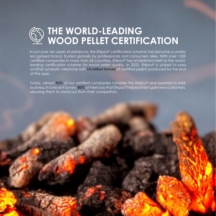

In just over ten years of existence, the EN*plus*® certification scheme has become a widely recognised brand, trusted globally by professionals and consumers alike. With over 1200 certified companies in more than 45 countries, EN*plus*® has established itself as the worldleading certification scheme for wood pellet quality. In 2022, EN*plus*® is poised to pass another symbolic milestone with **14 million tonnes** of certified pellets produced by the end of the year.

Today, almost **90%** of our certified companies consider the EN*plus*® seal essential to their business. In a recent survey, **80%** of them say that EN*plus*® helped them gain new customers, allowing them to stand out from their competitors.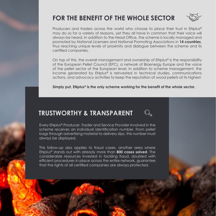### **FOR THE BENEFIT OF THE WHOLE SECTOR**



Producers and traders across the world who choose to place their trust in EN*plus*® may do so for a variety of reasons, yet they all have in common that their voice will always be heard. In addition to the Head Office, the scheme is locally managed and promoted by National Licensers and National Promoting Associations in **14 countries**, thus reaching unique levels of proximity and dialogue between the scheme and its certified companies.

On top of this, the overall management and ownership of EN*plus*® is the responsibility of the European Pellet Council (EPC), a network of Bioenergy Europe and the voice of the pellet sector at the European level. In addition to scheme management, the income generated by EN*plus*® is reinvested in technical studies, communications actions, and advocacy activities to keep the reputation of wood pellets at its highest.

**Simply put, EN***plus***® is the only scheme working for the benefit of the whole sector.**

#### **TRUSTWORTHY & TRANSPARENT**

Every EN*plus*® Producer, Trader and Service Provider involved in the scheme receives an individual identification number. From pellet bags through advertising material to delivery slips, this number must always be displayed.

This follow-up also applies to fraud cases, another area where EN*plus*® stands out with already more than **800 cases solved**. The considerable resources invested in tackling fraud, doubled with efficient procedures in place across the entire network, guarantee that the rights of all certified companies are always protected.